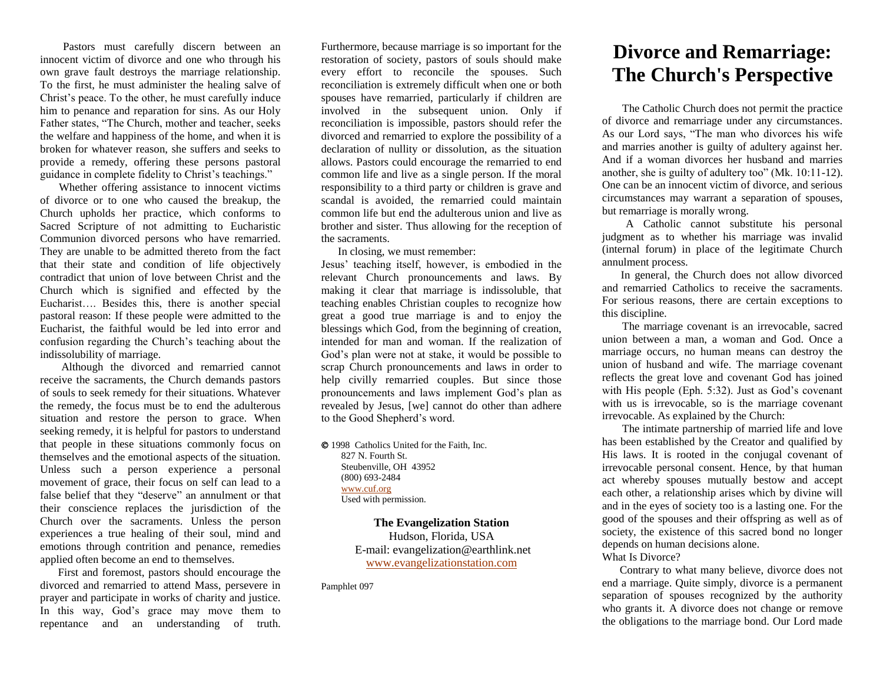Pastors must carefully discern between an innocent victim of divorce and one who through his own grave fault destroys the marriage relationship. To the first, he must administer the healing salve of Christ's peace. To the other, he must carefully induce him to penance and reparation for sins. As our Holy Father states, "The Church, mother and teacher, seeks the welfare and happiness of the home, and when it is broken for whatever reason, she suffers and seeks to provide a remedy, offering these persons pastoral guidance in complete fidelity to Christ's teachings."

 Whether offering assistance to innocent victims of divorce or to one who caused the breakup, the Church upholds her practice, which conforms to Sacred Scripture of not admitting to Eucharistic Communion divorced persons who have remarried. They are unable to be admitted thereto from the fact that their state and condition of life objectively contradict that union of love between Christ and the Church which is signified and effected by the Eucharist…. Besides this, there is another special pastoral reason: If these people were admitted to the Eucharist, the faithful would be led into error and confusion regarding the Church's teaching about the indissolubility of marriage.

 Although the divorced and remarried cannot receive the sacraments, the Church demands pastors of souls to seek remedy for their situations. Whatever the remedy, the focus must be to end the adulterous situation and restore the person to grace. When seeking remedy, it is helpful for pastors to understand that people in these situations commonly focus on themselves and the emotional aspects of the situation. Unless such a person experience a personal movement of grace, their focus on self can lead to a false belief that they "deserve" an annulment or that their conscience replaces the jurisdiction of the Church over the sacraments. Unless the person experiences a true healing of their soul, mind and emotions through contrition and penance, remedies applied often become an end to themselves.

 First and foremost, pastors should encourage the divorced and remarried to attend Mass, persevere in prayer and participate in works of charity and justice. In this way, God's grace may move them to repentance and an understanding of truth.

Furthermore, because marriage is so important for the restoration of society, pastors of souls should make every effort to reconcile the spouses. Such reconciliation is extremely difficult when one or both spouses have remarried, particularly if children are involved in the subsequent union. Only if reconciliation is impossible, pastors should refer the divorced and remarried to explore the possibility of a declaration of nullity or dissolution, as the situation allows. Pastors could encourage the remarried to end common life and live as a single person. If the moral responsibility to a third party or children is grave and scandal is avoided, the remarried could maintain common life but end the adulterous union and live as brother and sister. Thus allowing for the reception of the sacraments.

In closing, we must remember:

Jesus' teaching itself, however, is embodied in the relevant Church pronouncements and laws. By making it clear that marriage is indissoluble, that teaching enables Christian couples to recognize how great a good true marriage is and to enjoy the blessings which God, from the beginning of creation, intended for man and woman. If the realization of God's plan were not at stake, it would be possible to scrap Church pronouncements and laws in order to help civilly remarried couples. But since those pronouncements and laws implement God's plan as revealed by Jesus, [we] cannot do other than adhere to the Good Shepherd's word.

 1998 Catholics United for the Faith, Inc. 827 N. Fourth St. Steubenville, OH 43952 (800) 693-2484 [www.cuf.org](http://www.cuf.org/) Used with permission.

> **The Evangelization Station** Hudson, Florida, USA E-mail: evangelization@earthlink.net [www.evangelizationstation.com](http://www.pjpiisoe.org/)

Pamphlet 097

## **Divorce and Remarriage: The Church's Perspective**

The Catholic Church does not permit the practice of divorce and remarriage under any circumstances. As our Lord says, "The man who divorces his wife and marries another is guilty of adultery against her. And if a woman divorces her husband and marries another, she is guilty of adultery too" (Mk. 10:11-12). One can be an innocent victim of divorce, and serious circumstances may warrant a separation of spouses, but remarriage is morally wrong.

 A Catholic cannot substitute his personal judgment as to whether his marriage was invalid (internal forum) in place of the legitimate Church annulment process.

 In general, the Church does not allow divorced and remarried Catholics to receive the sacraments. For serious reasons, there are certain exceptions to this discipline.

The marriage covenant is an irrevocable, sacred union between a man, a woman and God. Once a marriage occurs, no human means can destroy the union of husband and wife. The marriage covenant reflects the great love and covenant God has joined with His people (Eph. 5:32). Just as God's covenant with us is irrevocable, so is the marriage covenant irrevocable. As explained by the Church:

The intimate partnership of married life and love has been established by the Creator and qualified by His laws. It is rooted in the conjugal covenant of irrevocable personal consent. Hence, by that human act whereby spouses mutually bestow and accept each other, a relationship arises which by divine will and in the eyes of society too is a lasting one. For the good of the spouses and their offspring as well as of society, the existence of this sacred bond no longer depends on human decisions alone.

## What Is Divorce?

 Contrary to what many believe, divorce does not end a marriage. Quite simply, divorce is a permanent separation of spouses recognized by the authority who grants it. A divorce does not change or remove the obligations to the marriage bond. Our Lord made